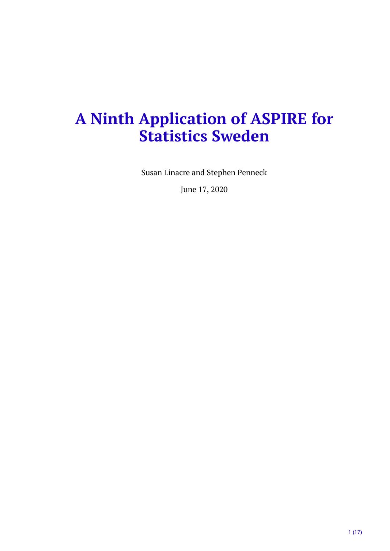# **A Ninth Application of ASPIRE for Statistics Sweden**

Susan Linacre and Stephen Penneck

June 17, 2020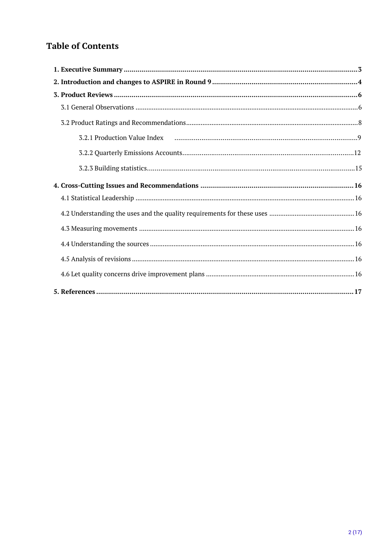# **Table of Contents**

| 3.2.1 Production Value Index (all intermal intermal intermal intervals) 3.2.1 Production Value Index |  |
|------------------------------------------------------------------------------------------------------|--|
|                                                                                                      |  |
|                                                                                                      |  |
|                                                                                                      |  |
|                                                                                                      |  |
|                                                                                                      |  |
|                                                                                                      |  |
|                                                                                                      |  |
|                                                                                                      |  |
|                                                                                                      |  |
|                                                                                                      |  |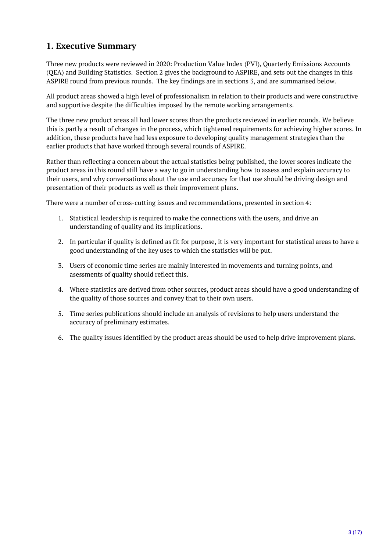# <span id="page-2-0"></span>**1. Executive Summary**

Three new products were reviewed in 2020: Production Value Index (PVI), Quarterly Emissions Accounts (QEA) and Building Statistics. Section 2 gives the background to ASPIRE, and sets out the changes in this ASPIRE round from previous rounds. The key findings are in sections 3, and are summarised below.

All product areas showed a high level of professionalism in relation to their products and were constructive and supportive despite the difficulties imposed by the remote working arrangements.

The three new product areas all had lower scores than the products reviewed in earlier rounds. We believe this is partly a result of changes in the process, which tightened requirements for achieving higher scores. In addition, these products have had less exposure to developing quality management strategies than the earlier products that have worked through several rounds of ASPIRE.

Rather than reflecting a concern about the actual statistics being published, the lower scores indicate the product areas in this round still have a way to go in understanding how to assess and explain accuracy to their users, and why conversations about the use and accuracy for that use should be driving design and presentation of their products as well as their improvement plans.

There were a number of cross-cutting issues and recommendations, presented in section 4:

- 1. Statistical leadership is required to make the connections with the users, and drive an understanding of quality and its implications.
- 2. In particular if quality is defined as fit for purpose, it is very important for statistical areas to have a good understanding of the key uses to which the statistics will be put.
- 3. Users of economic time series are mainly interested in movements and turning points, and asessments of quality should reflect this.
- 4. Where statistics are derived from other sources, product areas should have a good understanding of the quality of those sources and convey that to their own users.
- 5. Time series publications should include an analysis of revisions to help users understand the accuracy of preliminary estimates.
- 6. The quality issues identified by the product areas should be used to help drive improvement plans.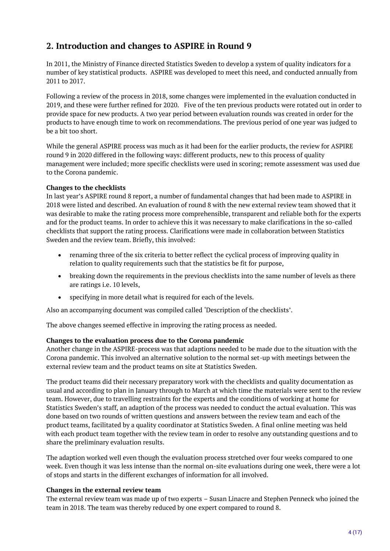# <span id="page-3-0"></span>**2. Introduction and changes to ASPIRE in Round 9**

In 2011, the Ministry of Finance directed Statistics Sweden to develop a system of quality indicators for a number of key statistical products. ASPIRE was developed to meet this need, and conducted annually from 2011 to 2017.

Following a review of the process in 2018, some changes were implemented in the evaluation conducted in 2019, and these were further refined for 2020. Five of the ten previous products were rotated out in order to provide space for new products. A two year period between evaluation rounds was created in order for the products to have enough time to work on recommendations. The previous period of one year was judged to be a bit too short.

While the general ASPIRE process was much as it had been for the earlier products, the review for ASPIRE round 9 in 2020 differed in the following ways: different products, new to this process of quality management were included; more specific checklists were used in scoring; remote assessment was used due to the Corona pandemic.

#### **Changes to the checklists**

In last year's ASPIRE round 8 report, a number of fundamental changes that had been made to ASPIRE in 2018 were listed and described. An evaluation of round 8 with the new external review team showed that it was desirable to make the rating process more comprehensible, transparent and reliable both for the experts and for the product teams. In order to achieve this it was necessary to make clarifications in the so-called checklists that support the rating process. Clarifications were made in collaboration between Statistics Sweden and the review team. Briefly, this involved:

- renaming three of the six criteria to better reflect the cyclical process of improving quality in relation to quality requirements such that the statistics be fit for purpose,
- breaking down the requirements in the previous checklists into the same number of levels as there are ratings i.e. 10 levels,
- specifying in more detail what is required for each of the levels.

Also an accompanying document was compiled called 'Description of the checklists'.

The above changes seemed effective in improving the rating process as needed.

#### **Changes to the evaluation process due to the Corona pandemic**

Another change in the ASPIRE-process was that adaptions needed to be made due to the situation with the Corona pandemic. This involved an alternative solution to the normal set-up with meetings between the external review team and the product teams on site at Statistics Sweden.

The product teams did their necessary preparatory work with the checklists and quality documentation as usual and according to plan in January through to March at which time the materials were sent to the review team. However, due to travelling restraints for the experts and the conditions of working at home for Statistics Sweden's staff, an adaption of the process was needed to conduct the actual evaluation. This was done based on two rounds of written questions and answers between the review team and each of the product teams, facilitated by a quality coordinator at Statistics Sweden. A final online meeting was held with each product team together with the review team in order to resolve any outstanding questions and to share the preliminary evaluation results.

The adaption worked well even though the evaluation process stretched over four weeks compared to one week. Even though it was less intense than the normal on-site evaluations during one week, there were a lot of stops and starts in the different exchanges of information for all involved.

#### **Changes in the external review team**

The external review team was made up of two experts – Susan Linacre and Stephen Penneck who joined the team in 2018. The team was thereby reduced by one expert compared to round 8.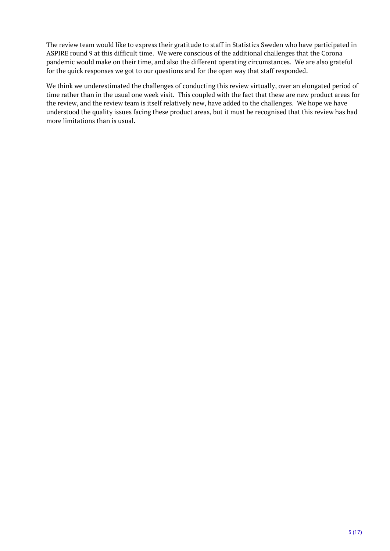The review team would like to express their gratitude to staff in Statistics Sweden who have participated in ASPIRE round 9 at this difficult time. We were conscious of the additional challenges that the Corona pandemic would make on their time, and also the different operating circumstances. We are also grateful for the quick responses we got to our questions and for the open way that staff responded.

We think we underestimated the challenges of conducting this review virtually, over an elongated period of time rather than in the usual one week visit. This coupled with the fact that these are new product areas for the review, and the review team is itself relatively new, have added to the challenges. We hope we have understood the quality issues facing these product areas, but it must be recognised that this review has had more limitations than is usual.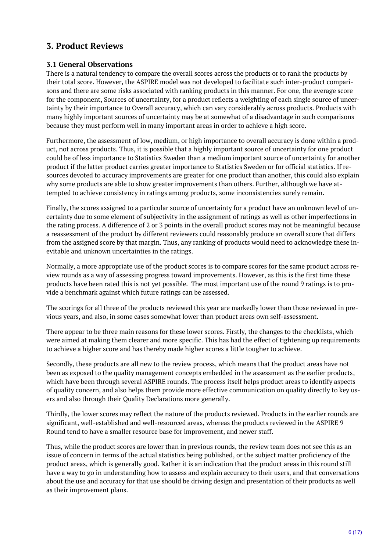# <span id="page-5-0"></span>**3. Product Reviews**

### <span id="page-5-1"></span>**3.1 General Observations**

There is a natural tendency to compare the overall scores across the products or to rank the products by their total score. However, the ASPIRE model was not developed to facilitate such inter-product comparisons and there are some risks associated with ranking products in this manner. For one, the average score for the component, Sources of uncertainty, for a product reflects a weighting of each single source of uncertainty by their importance to Overall accuracy, which can vary considerably across products. Products with many highly important sources of uncertainty may be at somewhat of a disadvantage in such comparisons because they must perform well in many important areas in order to achieve a high score.

Furthermore, the assessment of low, medium, or high importance to overall accuracy is done within a product, not across products. Thus, it is possible that a highly important source of uncertainty for one product could be of less importance to Statistics Sweden than a medium important source of uncertainty for another product if the latter product carries greater importance to Statistics Sweden or for official statistics. If resources devoted to accuracy improvements are greater for one product than another, this could also explain why some products are able to show greater improvements than others. Further, although we have attempted to achieve consistency in ratings among products, some inconsistencies surely remain.

Finally, the scores assigned to a particular source of uncertainty for a product have an unknown level of uncertainty due to some element of subjectivity in the assignment of ratings as well as other imperfections in the rating process. A difference of 2 or 3 points in the overall product scores may not be meaningful because a reassessment of the product by different reviewers could reasonably produce an overall score that differs from the assigned score by that margin. Thus, any ranking of products would need to acknowledge these inevitable and unknown uncertainties in the ratings.

Normally, a more appropriate use of the product scores is to compare scores for the same product across review rounds as a way of assessing progress toward improvements. However, as this is the first time these products have been rated this is not yet possible. The most important use of the round 9 ratings is to provide a benchmark against which future ratings can be assessed.

The scorings for all three of the products reviewed this year are markedly lower than those reviewed in previous years, and also, in some cases somewhat lower than product areas own self-assessment.

There appear to be three main reasons for these lower scores. Firstly, the changes to the checklists, which were aimed at making them clearer and more specific. This has had the effect of tightening up requirements to achieve a higher score and has thereby made higher scores a little tougher to achieve.

Secondly, these products are all new to the review process, which means that the product areas have not been as exposed to the quality management concepts embedded in the assessment as the earlier products, which have been through several ASPIRE rounds. The process itself helps product areas to identify aspects of quality concern, and also helps them provide more effective communication on quality directly to key users and also through their Quality Declarations more generally.

Thirdly, the lower scores may reflect the nature of the products reviewed. Products in the earlier rounds are significant, well-established and well-resourced areas, whereas the products reviewed in the ASPIRE 9 Round tend to have a smaller resource base for improvement, and newer staff.

Thus, while the product scores are lower than in previous rounds, the review team does not see this as an issue of concern in terms of the actual statistics being published, or the subject matter proficiency of the product areas, which is generally good. Rather it is an indication that the product areas in this round still have a way to go in understanding how to assess and explain accuracy to their users, and that conversations about the use and accuracy for that use should be driving design and presentation of their products as well as their improvement plans.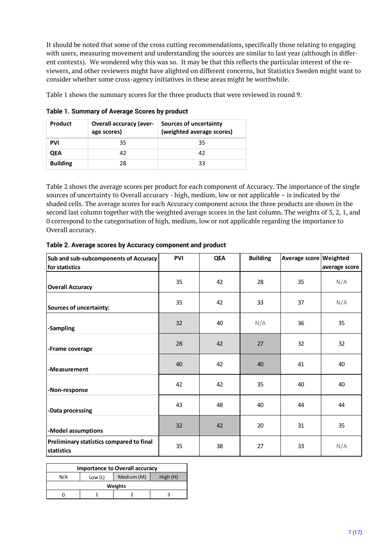It should be noted that some of the cross cutting recommendations, specifically those relating to engaging with users, measuring movement and understanding the sources are similar to last year (although in different contexts). We wondered why this was so. It may be that this reflects the particular interest of the reviewers, and other reviewers might have alighted on different concerns, but Statistics Sweden might want to consider whether some cross-agency initiatives in these areas might be worthwhile.

Table 1 shows the summary scores for the three products that were reviewed in round 9.

| <b>Product</b>  | <b>Overall accuracy (aver-</b><br>age scores) | <b>Sources of uncertainty</b><br>(weighted average scores) |
|-----------------|-----------------------------------------------|------------------------------------------------------------|
| <b>PVI</b>      | 35                                            | 35                                                         |
| <b>QEA</b>      | 42                                            | 42                                                         |
| <b>Building</b> | 28                                            | 33                                                         |

**Table 1. Summary of Average Scores by product**

Table 2 shows the average scores per product for each component of Accuracy. The importance of the single sources of uncertainty to Overall accuracy - high, medium, low or not applicable – is indicated by the shaded cells. The average scores for each Accuracy component across the three products are shown in the second last column together with the weighted average scores in the last column. The weights of 3, 2, 1, and 0 correspond to the categorisation of high, medium, low or not applicable regarding the importance to Overall accuracy.

| Sub and sub-subcomponents of Accuracy                  | <b>PVI</b> | <b>QEA</b> | <b>Building</b> | Average score Weighted |               |
|--------------------------------------------------------|------------|------------|-----------------|------------------------|---------------|
| for statistics                                         |            |            |                 |                        | average score |
| <b>Overall Accuracy</b>                                | 35         | 42         | 28              | 35                     | N/A           |
| Sources of uncertainty:                                | 35         | 42         | 33              | 37                     | N/A           |
| -Sampling                                              | 32         | 40         | N/A             | 36                     | 35            |
| -Frame coverage                                        | 28         | 42         | 27              | 32                     | 32            |
| -Measurement                                           | 40         | 42         | 40              | 41                     | 40            |
| -Non-response                                          | 42         | 42         | 35              | 40                     | 40            |
| -Data processing                                       | 43         | 48         | 40              | 44                     | 44            |
| -Model assumptions                                     | 32         | 42         | 20              | 31                     | 35            |
| Preliminary statistics compared to final<br>statistics | 35         | 38         | 27              | 33                     | N/A           |

**Table 2. Average scores by Accuracy component and product**

| <b>Importance to Overall accuracy</b>   |  |  |  |  |  |  |  |  |  |  |  |
|-----------------------------------------|--|--|--|--|--|--|--|--|--|--|--|
| N/A<br>Medium (M)<br>High(H)<br>Low (L) |  |  |  |  |  |  |  |  |  |  |  |
| Weights                                 |  |  |  |  |  |  |  |  |  |  |  |
|                                         |  |  |  |  |  |  |  |  |  |  |  |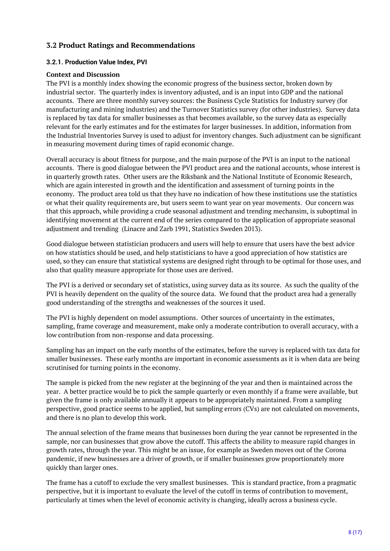### <span id="page-7-0"></span>**3.2 Product Ratings and Recommendations**

#### <span id="page-7-1"></span>**3.2.1. Production Value Index, PVI**

#### **Context and Discussion**

The PVI is a monthly index showing the economic progress of the business sector, broken down by industrial sector. The quarterly index is inventory adjusted, and is an input into GDP and the national accounts. There are three monthly survey sources: the Business Cycle Statistics for Industry survey (for manufacturing and mining industries) and the Turnover Statistics survey (for other industries). Survey data is replaced by tax data for smaller businesses as that becomes available, so the survey data as especially relevant for the early estimates and for the estimates for larger businesses. In addition, information from the Industrial Inventories Survey is used to adjust for inventory changes. Such adjustment can be significant in measuring movement during times of rapid economic change.

Overall accuracy is about fitness for purpose, and the main purpose of the PVI is an input to the national accounts. There is good dialogue between the PVI product area and the national accounts, whose interest is in quarterly growth rates. Other users are the Riksbank and the National Institute of Economic Research, which are again interested in growth and the identification and assessment of turning points in the economy. The product area told us that they have no indication of how these institutions use the statistics or what their quality requirements are, but users seem to want year on year movements. Our concern was that this approach, while providing a crude seasonal adjustment and trending mechansim, is suboptimal in identifying movement at the current end of the series compared to the application of appropriate seasonal adjustment and trending (Linacre and Zarb 1991, Statistics Sweden 2013).

Good dialogue between statistician producers and users will help to ensure that users have the best advice on how statistics should be used, and help statisticians to have a good appreciation of how statistics are used, so they can ensure that statistical systems are designed right through to be optimal for those uses, and also that quality measure appropriate for those uses are derived.

The PVI is a derived or secondary set of statistics, using survey data as its source. As such the quality of the PVI is heavily dependent on the quality of the source data. We found that the product area had a generally good understanding of the strengths and weaknesses of the sources it used.

The PVI is highly dependent on model assumptions. Other sources of uncertainty in the estimates, sampling, frame coverage and measurement, make only a moderate contribution to overall accuracy, with a low contribution from non-response and data processing.

Sampling has an impact on the early months of the estimates, before the survey is replaced with tax data for smaller businesses. These early months are important in economic assessments as it is when data are being scrutinised for turning points in the economy.

The sample is picked from the new register at the beginning of the year and then is maintained across the year. A better practice would be to pick the sample quarterly or even monthly if a frame were available, but given the frame is only available annually it appears to be appropriately maintained. From a sampling perspective, good practice seems to be applied, but sampling errors (CVs) are not calculated on movements, and there is no plan to develop this work.

The annual selection of the frame means that businesses born during the year cannot be represented in the sample, nor can businesses that grow above the cutoff. This affects the ability to measure rapid changes in growth rates, through the year. This might be an issue, for example as Sweden moves out of the Corona pandemic, if new businesses are a driver of growth, or if smaller businesses grow proportionately more quickly than larger ones.

The frame has a cutoff to exclude the very smallest businesses. This is standard practice, from a pragmatic perspective, but it is important to evaluate the level of the cutoff in terms of contribution to movement, particularly at times when the level of economic activity is changing, ideally across a business cycle.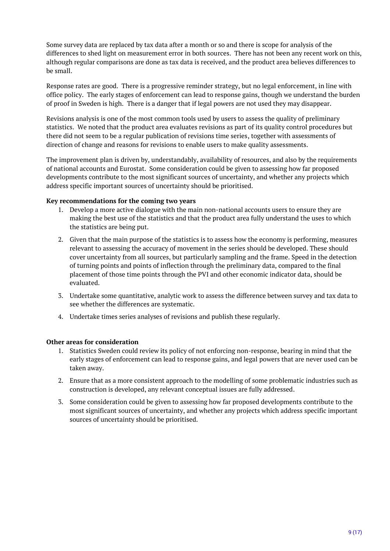Some survey data are replaced by tax data after a month or so and there is scope for analysis of the differences to shed light on measurement error in both sources. There has not been any recent work on this, although regular comparisons are done as tax data is received, and the product area believes differences to be small.

Response rates are good. There is a progressive reminder strategy, but no legal enforcement, in line with office policy. The early stages of enforcement can lead to response gains, though we understand the burden of proof in Sweden is high. There is a danger that if legal powers are not used they may disappear.

Revisions analysis is one of the most common tools used by users to assess the quality of preliminary statistics. We noted that the product area evaluates revisions as part of its quality control procedures but there did not seem to be a regular publication of revisions time series, together with assessments of direction of change and reasons for revisions to enable users to make quality assessments.

The improvement plan is driven by, understandably, availability of resources, and also by the requirements of national accounts and Eurostat. Some consideration could be given to assessing how far proposed developments contribute to the most significant sources of uncertainty, and whether any projects which address specific important sources of uncertainty should be prioritised.

#### **Key recommendations for the coming two years**

- 1. Develop a more active dialogue with the main non-national accounts users to ensure they are making the best use of the statistics and that the product area fully understand the uses to which the statistics are being put.
- 2. Given that the main purpose of the statistics is to assess how the economy is performing, measures relevant to assessing the accuracy of movement in the series should be developed. These should cover uncertainty from all sources, but particularly sampling and the frame. Speed in the detection of turning points and points of inflection through the preliminary data, compared to the final placement of those time points through the PVI and other economic indicator data, should be evaluated.
- 3. Undertake some quantitative, analytic work to assess the difference between survey and tax data to see whether the differences are systematic.
- 4. Undertake times series analyses of revisions and publish these regularly.

#### **Other areas for consideration**

- 1. Statistics Sweden could review its policy of not enforcing non-response, bearing in mind that the early stages of enforcement can lead to response gains, and legal powers that are never used can be taken away.
- 2. Ensure that as a more consistent approach to the modelling of some problematic industries such as construction is developed, any relevant conceptual issues are fully addressed.
- 3. Some consideration could be given to assessing how far proposed developments contribute to the most significant sources of uncertainty, and whether any projects which address specific important sources of uncertainty should be prioritised.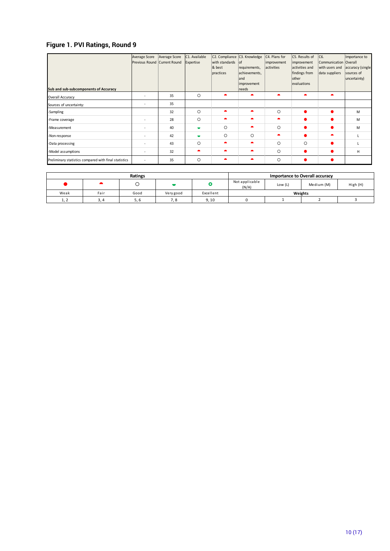## **Figure 1. PVI Ratings, Round 9**

| Sub and sub-subcomponents of Accuracy                 | Average Score<br>Previous Round Current Round | Average Score | C1. Available<br>Expertise | with standards of<br>& best<br>practices | C2. Compliance C3. Knowledge<br>requirements,<br>achievements,<br>land<br>improvement<br>needs | C4. Plans for<br>improvement<br>activities | C5. Results of<br>improvement<br>activities and<br>findings from<br>other<br>evaluations | C6.<br>Communication<br>with users and<br>data suppliers | Importance to<br><b>Overall</b><br>accuracy (single<br>sources of<br>uncertainty) |
|-------------------------------------------------------|-----------------------------------------------|---------------|----------------------------|------------------------------------------|------------------------------------------------------------------------------------------------|--------------------------------------------|------------------------------------------------------------------------------------------|----------------------------------------------------------|-----------------------------------------------------------------------------------|
| Overall Accuracy                                      |                                               | 35            | $\circ$                    | $\bullet$                                | ▴                                                                                              |                                            | ▲                                                                                        | $\bullet$                                                |                                                                                   |
| Sources of uncertainty:                               | $\sim$                                        | 35            |                            |                                          |                                                                                                |                                            |                                                                                          |                                                          |                                                                                   |
| -Sampling                                             |                                               | 32            | $\circ$                    |                                          |                                                                                                | $\circ$                                    |                                                                                          |                                                          | M                                                                                 |
| -Frame coverage                                       |                                               | 28            | $\circ$                    |                                          |                                                                                                | $\bullet$                                  |                                                                                          |                                                          | M                                                                                 |
| -Measurement                                          |                                               | 40            | ▬                          | $\Omega$                                 | ▲                                                                                              | $\circ$                                    |                                                                                          |                                                          | M                                                                                 |
| -Non-response                                         |                                               | 42            |                            | O                                        | $\circ$                                                                                        |                                            |                                                                                          |                                                          |                                                                                   |
| -Data processing                                      | $\sim$                                        | 43            | $\Omega$                   | ▴                                        | ▲                                                                                              | $\circ$                                    | $\circ$                                                                                  |                                                          |                                                                                   |
| -Model assumptions                                    | $\overline{\phantom{a}}$                      | 32            |                            |                                          |                                                                                                | $\circ$                                    | ●                                                                                        |                                                          | H                                                                                 |
| Preliminary statistics compared with final statistics |                                               | 35            | $\Omega$                   |                                          |                                                                                                | $\circ$                                    |                                                                                          |                                                          |                                                                                   |

| Ratings                                |      |      |           |           |                         |          | Importance to Overall accuracy |  |  |
|----------------------------------------|------|------|-----------|-----------|-------------------------|----------|--------------------------------|--|--|
|                                        |      |      |           |           | Not applicable<br>(N/A) | High (H) |                                |  |  |
| Weak                                   | Fair | Good | Very good | Excellent | Weights                 |          |                                |  |  |
| $\overline{\phantom{a}}$<br><b>1,4</b> | 3.4  | 5. b | 7. 8      | 9, 10     |                         |          |                                |  |  |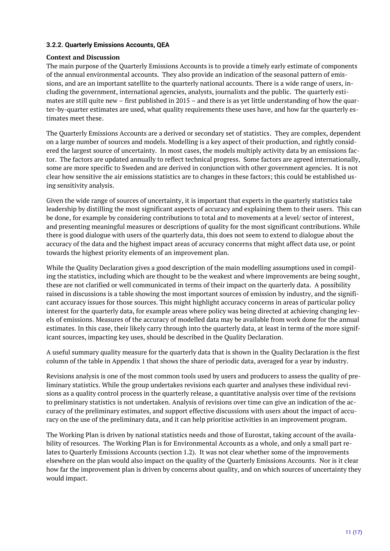#### <span id="page-10-0"></span>**3.2.2. Quarterly Emissions Accounts, QEA**

#### **Context and Discussion**

The main purpose of the Quarterly Emissions Accounts is to provide a timely early estimate of components of the annual environmental accounts. They also provide an indication of the seasonal pattern of emissions, and are an important satellite to the quarterly national accounts. There is a wide range of users, including the government, international agencies, analysts, journalists and the public. The quarterly estimates are still quite new – first published in 2015 – and there is as yet little understanding of how the quarter-by-quarter estimates are used, what quality requirements these uses have, and how far the quarterly estimates meet these.

The Quarterly Emissions Accounts are a derived or secondary set of statistics. They are complex, dependent on a large number of sources and models. Modelling is a key aspect of their production, and rightly considered the largest source of uncertainty. In most cases, the models multiply activity data by an emissions factor. The factors are updated annually to reflect technical progress. Some factors are agreed internationally, some are more specific to Sweden and are derived in conjunction with other government agencies. It is not clear how sensitive the air emissions statistics are to changes in these factors; this could be established using sensitivity analysis.

Given the wide range of sources of uncertainty, it is important that experts in the quarterly statistics take leadership by distilling the most significant aspects of accuracy and explaining them to their users. This can be done, for example by considering contributions to total and to movements at a level/ sector of interest, and presenting meaningful measures or descriptions of quality for the most significant contributions. While there is good dialogue with users of the quarterly data, this does not seem to extend to dialogue about the accuracy of the data and the highest impact areas of accuracy concerns that might affect data use, or point towards the highest priority elements of an improvement plan.

While the Quality Declaration gives a good description of the main modelling assumptions used in compiling the statistics, including which are thought to be the weakest and where improvements are being sought, these are not clarified or well communicated in terms of their impact on the quarterly data. A possibility raised in discussions is a table showing the most important sources of emission by industry, and the significant accuracy issues for those sources. This might highlight accuracy concerns in areas of particular policy interest for the quarterly data, for example areas where policy was being directed at achieving changing levels of emissions. Measures of the accuracy of modelled data may be available from work done for the annual estimates. In this case, their likely carry through into the quarterly data, at least in terms of the more significant sources, impacting key uses, should be described in the Quality Declaration.

A useful summary quality measure for the quarterly data that is shown in the Quality Declaration is the first column of the table in Appendix 1 that shows the share of periodic data, averaged for a year by industry.

Revisions analysis is one of the most common tools used by users and producers to assess the quality of preliminary statistics. While the group undertakes revisions each quarter and analyses these individual revisions as a quality control process in the quarterly release, a quantitative analysis over time of the revisions to preliminary statistics is not undertaken. Analysis of revisions over time can give an indication of the accuracy of the preliminary estimates, and support effective discussions with users about the impact of accuracy on the use of the preliminary data, and it can help prioritise activities in an improvement program.

The Working Plan is driven by national statistics needs and those of Eurostat, taking account of the availability of resources. The Working Plan is for Environmental Accounts as a whole, and only a small part relates to Quarterly Emissions Accounts (section 1.2). It was not clear whether some of the improvements elsewhere on the plan would also impact on the quality of the Quarterly Emissions Accounts. Nor is it clear how far the improvement plan is driven by concerns about quality, and on which sources of uncertainty they would impact.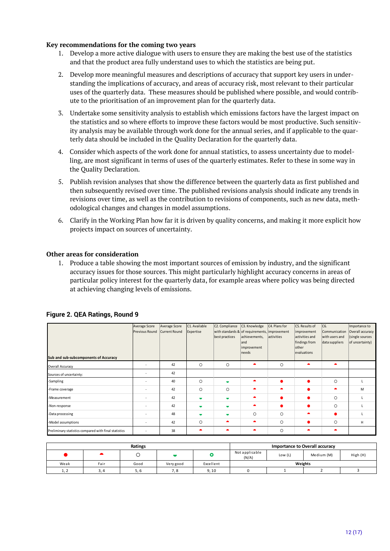#### **Key recommendations for the coming two years**

- 1. Develop a more active dialogue with users to ensure they are making the best use of the statistics and that the product area fully understand uses to which the statistics are being put.
- 2. Develop more meaningful measures and descriptions of accuracy that support key users in understanding the implications of accuracy, and areas of accuracy risk, most relevant to their particular uses of the quarterly data. These measures should be published where possible, and would contribute to the prioritisation of an improvement plan for the quarterly data.
- 3. Undertake some sensitivity analysis to establish which emissions factors have the largest impact on the statistics and so where efforts to improve these factors would be most productive. Such sensitivity analysis may be available through work done for the annual series, and if applicable to the quarterly data should be included in the Quality Declaration for the quarterly data.
- 4. Consider which aspects of the work done for annual statistics, to assess uncertainty due to modelling, are most significant in terms of uses of the quarterly estimates. Refer to these in some way in the Quality Declaration.
- 5. Publish revision analyses that show the difference between the quarterly data as first published and then subsequently revised over time. The published revisions analysis should indicate any trends in revisions over time, as well as the contribution to revisions of components, such as new data, methodological changes and changes in model assumptions.
- 6. Clarify in the Working Plan how far it is driven by quality concerns, and making it more explicit how projects impact on sources of uncertainty.

#### **Other areas for consideration**

1. Produce a table showing the most important sources of emission by industry, and the significant accuracy issues for those sources. This might particularly highlight accuracy concerns in areas of particular policy interest for the quarterly data, for example areas where policy was being directed at achieving changing levels of emissions.

| Sub and sub-subcomponents of Accuracy                 | Average Score<br>Previous Round | Average Score<br>Current Round | C1. Available<br>Expertise | C2. Compliance<br>best practices | C <sub>3</sub> . Knowledge<br>with standards & of requirements, improvement<br>achievements,<br>land<br>improvement<br>needs | C <sub>4</sub> . Plans for<br>activities | C5. Results of<br>improvement<br>activities and<br>findings from<br>other<br>evaluations | C6.<br>Communication<br>with users and<br>data suppliers | Importance to<br>Overall accuracy<br>(single sources<br>of uncertainty) |
|-------------------------------------------------------|---------------------------------|--------------------------------|----------------------------|----------------------------------|------------------------------------------------------------------------------------------------------------------------------|------------------------------------------|------------------------------------------------------------------------------------------|----------------------------------------------------------|-------------------------------------------------------------------------|
| <b>Overall Accuracy</b>                               | $\sim$                          | 42                             | $\circ$                    | O                                | $\bullet$                                                                                                                    | $\circ$                                  | $\bullet$                                                                                | $\blacktriangle$                                         |                                                                         |
| Sources of uncertainty:                               |                                 | 42                             |                            |                                  |                                                                                                                              |                                          |                                                                                          |                                                          |                                                                         |
| -Sampling                                             | $\sim$                          | 40                             | $\circ$                    | $\blacksquare$                   |                                                                                                                              | $\bullet$                                |                                                                                          | $\circ$                                                  |                                                                         |
| -Frame coverage                                       | $\sim$                          | 42                             | $\circ$                    | $\circ$                          | $\bullet$                                                                                                                    | ▲                                        |                                                                                          | ▴                                                        | M                                                                       |
| -Measurement                                          | $\overline{\phantom{a}}$        | 42                             | ▬                          | $\overline{\phantom{a}}$         | $\bullet$                                                                                                                    |                                          |                                                                                          | $\circ$                                                  |                                                                         |
| -Non-response                                         |                                 | 42                             | ▬                          | $\overline{\phantom{a}}$         | $\bullet$                                                                                                                    | ●                                        |                                                                                          | $\circ$                                                  |                                                                         |
| -Data processing                                      | $\sim$                          | 48                             |                            | ▬                                | $\circ$                                                                                                                      | $\circ$                                  | $\bullet$                                                                                |                                                          |                                                                         |
| -Model assumptions                                    |                                 | 42                             | O                          | ▴                                | $\bullet$                                                                                                                    | $\circ$                                  |                                                                                          | $\circ$                                                  | H                                                                       |
| Preliminary statistics compared with final statistics | ٠                               | 38                             |                            |                                  | ▴                                                                                                                            | $\circ$                                  | $\bullet$                                                                                | ▴                                                        |                                                                         |

| Ratings |          |      |           |           |                                                  |  | <b>Importance to Overall accuracy</b> |          |  |
|---------|----------|------|-----------|-----------|--------------------------------------------------|--|---------------------------------------|----------|--|
|         |          |      |           |           | Not applicable<br>Medium (M)<br>Low (L)<br>(N/A) |  |                                       | High (H) |  |
| Weak    | Fair     | Good | Very good | Excellent | Weights                                          |  |                                       |          |  |
| 1, 2    | <u>.</u> | 5. מ | 7. 8      | 9,10      |                                                  |  |                                       |          |  |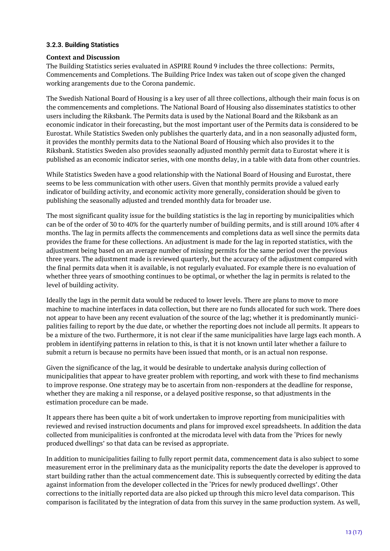#### <span id="page-12-0"></span>**3.2.3. Building Statistics**

#### **Context and Discussion**

The Building Statistics series evaluated in ASPIRE Round 9 includes the three collections: Permits, Commencements and Completions. The Building Price Index was taken out of scope given the changed working arangements due to the Corona pandemic.

The Swedish National Board of Housing is a key user of all three collections, although their main focus is on the commencements and completions. The National Board of Housing also disseminates statistics to other users including the Riksbank. The Permits data is used by the National Board and the Riksbank as an economic indicator in their forecasting, but the most important user of the Permits data is considered to be Eurostat. While Statistics Sweden only publishes the quarterly data, and in a non seasonally adjusted form, it provides the monthly permits data to the National Board of Housing which also provides it to the Riksbank. Statistics Sweden also provides seaonally adjusted monthly permit data to Eurostat where it is published as an economic indicator series, with one months delay, in a table with data from other countries.

While Statistics Sweden have a good relationship with the National Board of Housing and Eurostat, there seems to be less communication with other users. Given that monthly permits provide a valued early indicator of building activity, and economic activity more generally, consideration should be given to publishing the seasonally adjusted and trended monthly data for broader use.

The most significant quality issue for the building statistics is the lag in reporting by municipalities which can be of the order of 30 to 40% for the quarterly number of building permits, and is still around 10% after 4 months. The lag in permits affects the commencements and completions data as well since the permits data provides the frame for these collections. An adjustment is made for the lag in reported statistics, with the adjustment being based on an average number of missing permits for the same period over the previous three years. The adjustment made is reviewed quarterly, but the accuracy of the adjustment compared with the final permits data when it is available, is not regularly evaluated. For example there is no evaluation of whether three years of smoothing continues to be optimal, or whether the lag in permits is related to the level of building activity.

Ideally the lags in the permit data would be reduced to lower levels. There are plans to move to more machine to machine interfaces in data collection, but there are no funds allocated for such work. There does not appear to have been any recent evaluation of the source of the lag; whether it is predominantly municipalities failing to report by the due date, or whether the reporting does not include all permits. It appears to be a mixture of the two. Furthermore, it is not clear if the same municipalities have large lags each month. A problem in identifying patterns in relation to this, is that it is not known until later whether a failure to submit a return is because no permits have been issued that month, or is an actual non response.

Given the significance of the lag, it would be desirable to undertake analysis during collection of municipalities that appear to have greater problem with reporting, and work with these to find mechanisms to improve response. One strategy may be to ascertain from non-responders at the deadline for response, whether they are making a nil response, or a delayed positive response, so that adjustments in the estimation procedure can be made.

It appears there has been quite a bit of work undertaken to improve reporting from municipalities with reviewed and revised instruction documents and plans for improved excel spreadsheets. In addition the data collected from municipalities is confronted at the microdata level with data from the 'Prices for newly produced dwellings' so that data can be revised as appropriate.

In addition to municipalities failing to fully report permit data, commencement data is also subject to some measurement error in the preliminary data as the municipality reports the date the developer is approved to start building rather than the actual commencement date. This is subsequently corrected by editing the data against information from the developer collected in the 'Prices for newly produced dwellings'. Other corrections to the initially reported data are also picked up through this micro level data comparison. This comparison is facilitated by the integration of data from this survey in the same production system. As well,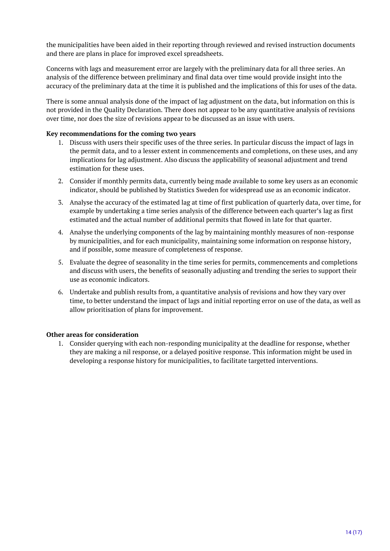the municipalities have been aided in their reporting through reviewed and revised instruction documents and there are plans in place for improved excel spreadsheets.

Concerns with lags and measurement error are largely with the preliminary data for all three series. An analysis of the difference between preliminary and final data over time would provide insight into the accuracy of the preliminary data at the time it is published and the implications of this for uses of the data.

There is some annual analysis done of the impact of lag adjustment on the data, but information on this is not provided in the Quality Declaration. There does not appear to be any quantitative analysis of revisions over time, nor does the size of revisions appear to be discussed as an issue with users.

#### **Key recommendations for the coming two years**

- 1. Discuss with users their specific uses of the three series. In particular discuss the impact of lags in the permit data, and to a lesser extent in commencements and completions, on these uses, and any implications for lag adjustment. Also discuss the applicability of seasonal adjustment and trend estimation for these uses.
- 2. Consider if monthly permits data, currently being made available to some key users as an economic indicator, should be published by Statistics Sweden for widespread use as an economic indicator.
- 3. Analyse the accuracy of the estimated lag at time of first publication of quarterly data, over time, for example by undertaking a time series analysis of the difference between each quarter's lag as first estimated and the actual number of additional permits that flowed in late for that quarter.
- 4. Analyse the underlying components of the lag by maintaining monthly measures of non-response by municipalities, and for each municipality, maintaining some information on response history, and if possible, some measure of completeness of response.
- 5. Evaluate the degree of seasonality in the time series for permits, commencements and completions and discuss with users, the benefits of seasonally adjusting and trending the series to support their use as economic indicators.
- 6. Undertake and publish results from, a quantitative analysis of revisions and how they vary over time, to better understand the impact of lags and initial reporting error on use of the data, as well as allow prioritisation of plans for improvement.

#### **Other areas for consideration**

1. Consider querying with each non-responding municipality at the deadline for response, whether they are making a nil response, or a delayed positive response. This information might be used in developing a response history for municipalities, to facilitate targetted interventions.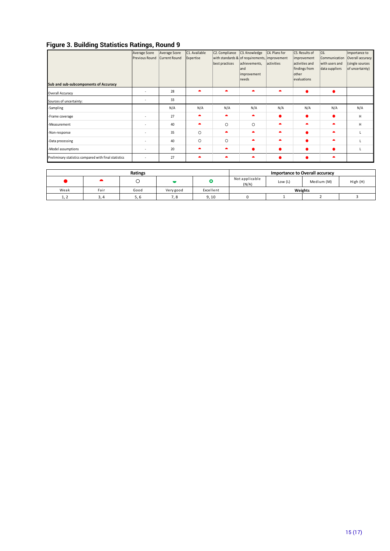#### **Figure 3. Building Statistics Ratings, Round 9**

|                                                       | - -                      |                      |               |                |                                               |               |                |                |                  |
|-------------------------------------------------------|--------------------------|----------------------|---------------|----------------|-----------------------------------------------|---------------|----------------|----------------|------------------|
|                                                       | Average Score            | Average Score        | C1. Available | C2. Compliance | C3. Knowledge                                 | C4. Plans for | C5. Results of | C6.            | Importance to    |
|                                                       | Previous Round           | <b>Current Round</b> | Expertise     |                | with standards & of requirements, improvement |               | improvement    | Communication  | Overall accuracy |
|                                                       |                          |                      |               | best practices | achievements,                                 | activities    | activities and | with users and | (single sources  |
|                                                       |                          |                      |               |                | land                                          |               | findings from  | data suppliers | of uncertainty)  |
|                                                       |                          |                      |               |                | improvement                                   |               | other          |                |                  |
|                                                       |                          |                      |               |                | needs                                         |               | evaluations    |                |                  |
| Sub and sub-subcomponents of Accuracy                 |                          |                      |               |                |                                               |               |                |                |                  |
| Overall Accuracy                                      | $\overline{a}$           | 28                   |               |                |                                               | ▴             |                | $\bullet$      |                  |
| Sources of uncertainty:                               | $\overline{\phantom{a}}$ | 33                   |               |                |                                               |               |                |                |                  |
| -Sampling                                             |                          | N/A                  | N/A           | N/A            | N/A                                           | N/A           | N/A            | N/A            | N/A              |
| -Frame coverage                                       | $\overline{a}$           | 27                   |               | $\bullet$      | $\bullet$                                     | $\bullet$     |                |                | H                |
| -Measurement                                          | $\overline{\phantom{a}}$ | 40                   |               | $\circ$        | $\circ$                                       | $\bullet$     | $\bullet$      | ٠              | H                |
| -Non-response                                         | $\overline{\phantom{a}}$ | 35                   | O             | ▲              | ▴                                             | $\bullet$     |                | ٠              |                  |
| -Data processing                                      | $\overline{\phantom{a}}$ | 40                   | $\circ$       | $\circ$        | $\bullet$                                     | $\bullet$     |                | ٠              |                  |
| -Model assumptions                                    | $\overline{a}$           | 20                   |               | ▲              |                                               |               |                | $\bullet$      |                  |
| Preliminary statistics compared with final statistics | ٠                        | 27                   |               |                |                                               |               |                | ▲              |                  |

| Ratings           |      |      |           |           |                         |          | <b>Importance to Overall accuracy</b> |  |  |  |
|-------------------|------|------|-----------|-----------|-------------------------|----------|---------------------------------------|--|--|--|
|                   |      |      |           |           | Not applicable<br>(N/A) | High (H) |                                       |  |  |  |
| Weak              | Fair | Good | Very good | Excellent | Weights                 |          |                                       |  |  |  |
| ົ່າ<br><b>1,4</b> |      | ס. כ | . .       | 9.10      |                         |          |                                       |  |  |  |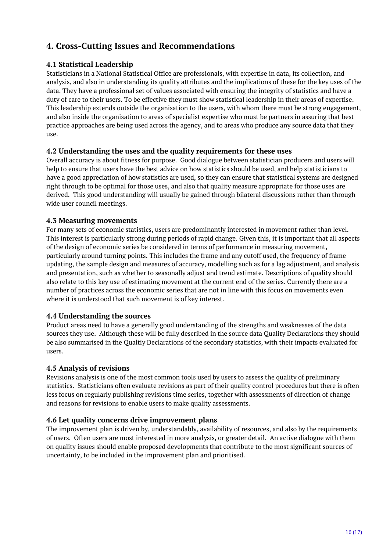# <span id="page-15-0"></span>**4. Cross-Cutting Issues and Recommendations**

### <span id="page-15-1"></span>**4.1 Statistical Leadership**

Statisticians in a National Statistical Office are professionals, with expertise in data, its collection, and analysis, and also in understanding its quality attributes and the implications of these for the key uses of the data. They have a professional set of values associated with ensuring the integrity of statistics and have a duty of care to their users. To be effective they must show statistical leadership in their areas of expertise. This leadership extends outside the organisation to the users, with whom there must be strong engagement, and also inside the organisation to areas of specialist expertise who must be partners in assuring that best practice approaches are being used across the agency, and to areas who produce any source data that they use.

### <span id="page-15-2"></span>**4.2 Understanding the uses and the quality requirements for these uses**

Overall accuracy is about fitness for purpose. Good dialogue between statistician producers and users will help to ensure that users have the best advice on how statistics should be used, and help statisticians to have a good appreciation of how statistics are used, so they can ensure that statistical systems are designed right through to be optimal for those uses, and also that quality measure appropriate for those uses are derived. This good understanding will usually be gained through bilateral discussions rather than through wide user council meetings.

### <span id="page-15-3"></span>**4.3 Measuring movements**

For many sets of economic statistics, users are predominantly interested in movement rather than level. This interest is particularly strong during periods of rapid change. Given this, it is important that all aspects of the design of economic series be considered in terms of performance in measuring movement, particularly around turning points. This includes the frame and any cutoff used, the frequency of frame updating, the sample design and measures of accuracy, modelling such as for a lag adjustment, and analysis and presentation, such as whether to seasonally adjust and trend estimate. Descriptions of quality should also relate to this key use of estimating movement at the current end of the series. Currently there are a number of practices across the economic series that are not in line with this focus on movements even where it is understood that such movement is of key interest.

### <span id="page-15-4"></span>**4.4 Understanding the sources**

Product areas need to have a generally good understanding of the strengths and weaknesses of the data sources they use. Although these will be fully described in the source data Quality Declarations they should be also summarised in the Qualtiy Declarations of the secondary statistics, with their impacts evaluated for users.

#### <span id="page-15-5"></span>**4.5 Analysis of revisions**

Revisions analysis is one of the most common tools used by users to assess the quality of preliminary statistics. Statisticians often evaluate revisions as part of their quality control procedures but there is often less focus on regularly publishing revisions time series, together with assessments of direction of change and reasons for revisions to enable users to make quality assessments.

#### <span id="page-15-6"></span>**4.6 Let quality concerns drive improvement plans**

The improvement plan is driven by, understandably, availability of resources, and also by the requirements of users. Often users are most interested in more analysis, or greater detail. An active dialogue with them on quality issues should enable proposed developments that contribute to the most significant sources of uncertainty, to be included in the improvement plan and prioritised.